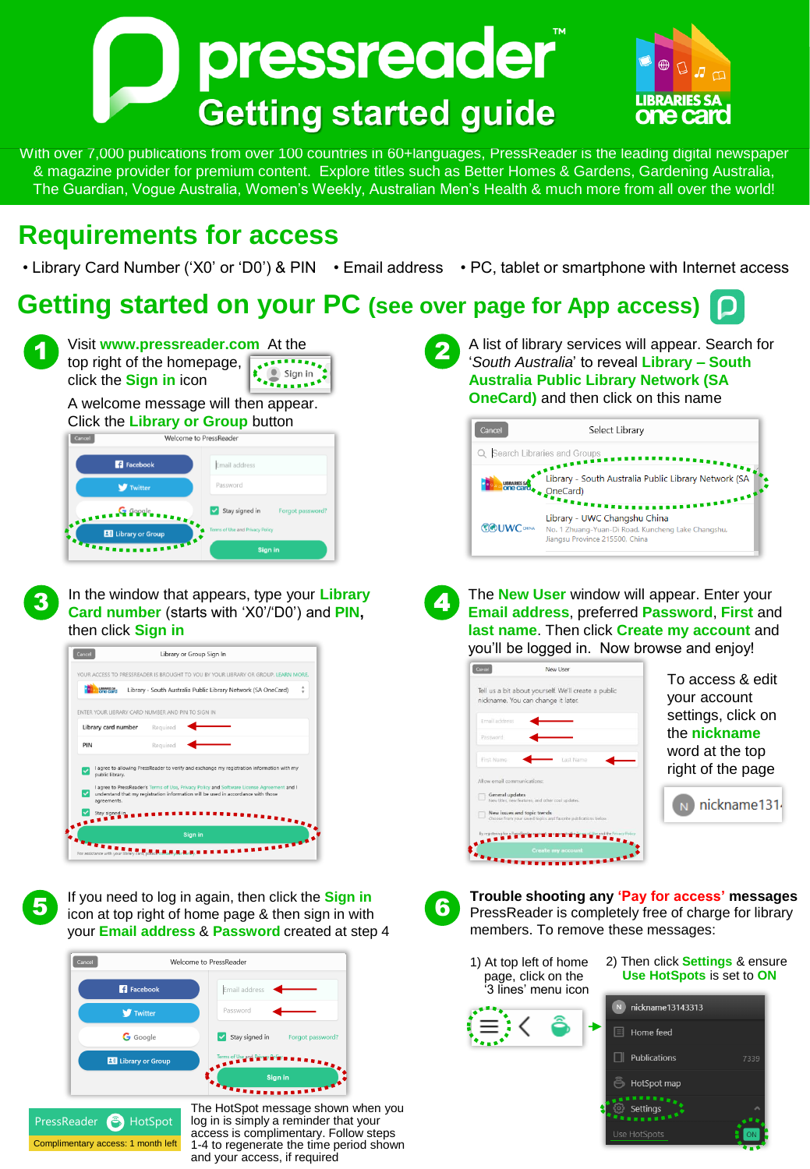



With over 7,000 publications from over 100 countries in 60+languages, PressReader is the leading digital newspaper & magazine provider for premium content. Explore titles such as Better Homes & Gardens, Gardening Australia, The Guardian, Vogue Australia, Women's Weekly, Australian Men's Health & much more from all over the world!

## **Requirements for access**

• Library Card Number ('X0' or 'D0') & PIN • Email address • PC, tablet or smartphone with Internet access

## **Getting started on your PC (see over page for App access)**



3

5

Visit **www.pressreader.com** At the top right of the homepage,  $\sum_{k=1}^{n}$  Sign in click the **Sign in** icon

A welcome message will then appear. Click the **Library or Group** button

| Cancel                                                                          | Welcome to PressReader             |
|---------------------------------------------------------------------------------|------------------------------------|
| <b>R</b> Facebook                                                               | Email address                      |
| <b>W</b> Twitter                                                                | Password                           |
| <b>STATISTIC SEPPLE PRESS</b>                                                   | Stay signed in<br>Forgot password? |
|                                                                                 | Terms of Use and Privacy Policy    |
| $\begin{array}{c} \bullet\bullet\bullet\bullet\bullet\bullet\bullet\end{array}$ | <b>Sign in</b>                     |

In the window that appears, type your **Library Card number** (starts with 'X0'/'D0') and **PIN,**  then click **Sign in**



If you need to log in again, then click the **Sign in** icon at top right of home page & then sign in with your **Email address** & **Password** created at step 4



PressReader **A** HotSpot Complimentary access: 1 month left

The HotSpot message shown when you log in is simply a reminder that your access is complimentary. Follow steps 1-4 to regenerate the time period shown and your access, if required

2

A list of library services will appear. Search for '*South Australia*' to reveal **Library – South Australia Public Library Network (SA OneCard)** and then click on this name

| Cancel                        | Select Library                                                                                                                                                                                                                               |
|-------------------------------|----------------------------------------------------------------------------------------------------------------------------------------------------------------------------------------------------------------------------------------------|
| Q Search Libraries and Groups |                                                                                                                                                                                                                                              |
|                               | $\mathbf{z}^{\mathbf{z}^{\mathbf{z}^{\mathbf{z}^{\mathbf{z}^{\mathbf{z}}}}}}$<br>Library - South Australia Public Library Network (SA<br><b>A</b> une card<br><b>A</b> one card<br><b>A</b> One Card<br><b>One Card </b><br><b>TERRITORY</b> |
| <b><i>SAUWC OHINA</i></b>     | Library - UWC Changshu China<br>No. 1 Zhuang-Yuan-Di Road, Kuncheng Lake Changshu,<br>Jiangsu Province 215500, China                                                                                                                         |

4 The **New User** window will appear. Enter your **Email address**, preferred **Password**, **First** and **last name**. Then click **Create my account** and you'll be logged in. Now browse and enjoy!





**Trouble shooting any 'Pay for access' messages**  PressReader is completely free of charge for library members. To remove these messages:

- 1) At top left of home page, click on the '3 lines' menu icon
- 2) Then click **Settings** & ensure **Use HotSpots** is set to **ON**